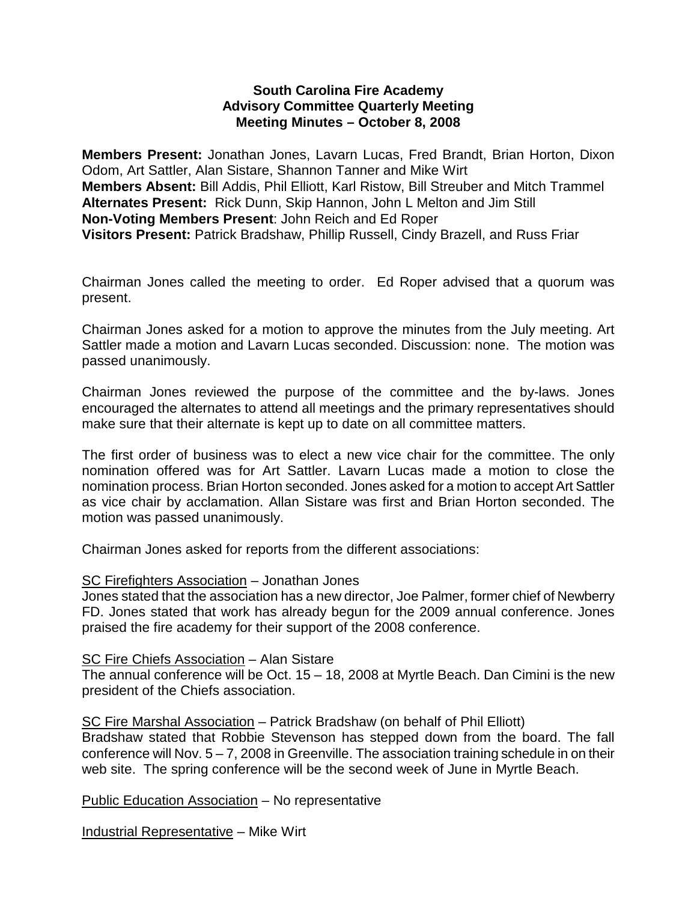### **South Carolina Fire Academy Advisory Committee Quarterly Meeting Meeting Minutes – October 8, 2008**

**Members Present:** Jonathan Jones, Lavarn Lucas, Fred Brandt, Brian Horton, Dixon Odom, Art Sattler, Alan Sistare, Shannon Tanner and Mike Wirt **Members Absent:** Bill Addis, Phil Elliott, Karl Ristow, Bill Streuber and Mitch Trammel **Alternates Present:** Rick Dunn, Skip Hannon, John L Melton and Jim Still **Non-Voting Members Present**: John Reich and Ed Roper **Visitors Present:** Patrick Bradshaw, Phillip Russell, Cindy Brazell, and Russ Friar

Chairman Jones called the meeting to order. Ed Roper advised that a quorum was present.

Chairman Jones asked for a motion to approve the minutes from the July meeting. Art Sattler made a motion and Lavarn Lucas seconded. Discussion: none. The motion was passed unanimously.

Chairman Jones reviewed the purpose of the committee and the by-laws. Jones encouraged the alternates to attend all meetings and the primary representatives should make sure that their alternate is kept up to date on all committee matters.

The first order of business was to elect a new vice chair for the committee. The only nomination offered was for Art Sattler. Lavarn Lucas made a motion to close the nomination process. Brian Horton seconded. Jones asked for a motion to accept Art Sattler as vice chair by acclamation. Allan Sistare was first and Brian Horton seconded. The motion was passed unanimously.

Chairman Jones asked for reports from the different associations:

# SC Firefighters Association – Jonathan Jones

Jones stated that the association has a new director, Joe Palmer, former chief of Newberry FD. Jones stated that work has already begun for the 2009 annual conference. Jones praised the fire academy for their support of the 2008 conference.

### SC Fire Chiefs Association – Alan Sistare

The annual conference will be Oct. 15 – 18, 2008 at Myrtle Beach. Dan Cimini is the new president of the Chiefs association.

SC Fire Marshal Association – Patrick Bradshaw (on behalf of Phil Elliott)

Bradshaw stated that Robbie Stevenson has stepped down from the board. The fall conference will Nov.  $5 - 7$ , 2008 in Greenville. The association training schedule in on their web site. The spring conference will be the second week of June in Myrtle Beach.

Public Education Association – No representative

Industrial Representative – Mike Wirt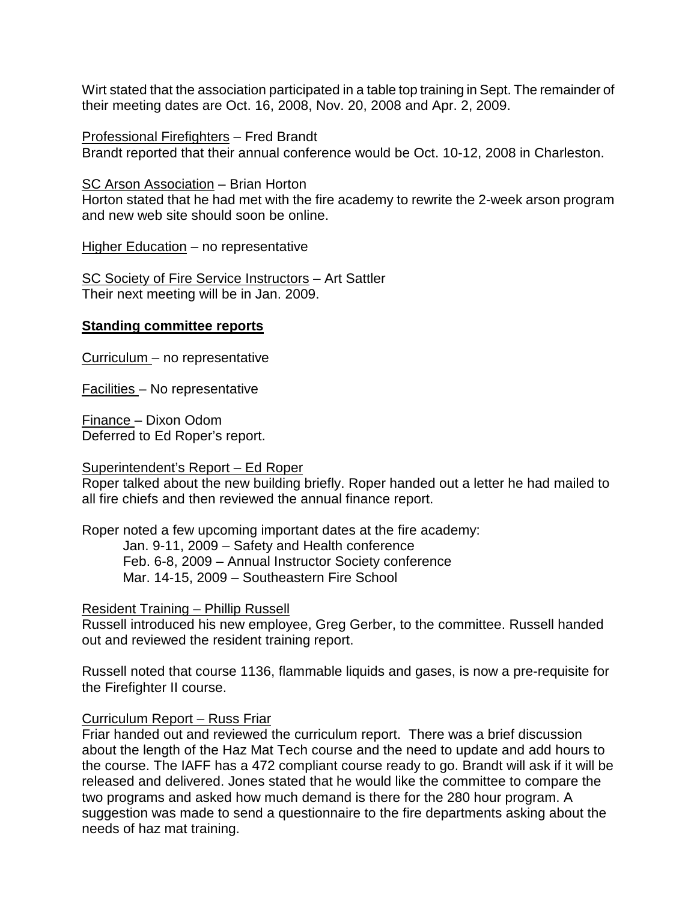Wirt stated that the association participated in a table top training in Sept. The remainder of their meeting dates are Oct. 16, 2008, Nov. 20, 2008 and Apr. 2, 2009.

Professional Firefighters – Fred Brandt

Brandt reported that their annual conference would be Oct. 10-12, 2008 in Charleston.

SC Arson Association – Brian Horton

Horton stated that he had met with the fire academy to rewrite the 2-week arson program and new web site should soon be online.

Higher Education – no representative

SC Society of Fire Service Instructors – Art Sattler Their next meeting will be in Jan. 2009.

#### **Standing committee reports**

Curriculum – no representative

Facilities – No representative

Finance – Dixon Odom Deferred to Ed Roper's report.

#### Superintendent's Report – Ed Roper

Roper talked about the new building briefly. Roper handed out a letter he had mailed to all fire chiefs and then reviewed the annual finance report.

Roper noted a few upcoming important dates at the fire academy:

Jan. 9-11, 2009 – Safety and Health conference Feb. 6-8, 2009 – Annual Instructor Society conference Mar. 14-15, 2009 – Southeastern Fire School

### Resident Training – Phillip Russell

Russell introduced his new employee, Greg Gerber, to the committee. Russell handed out and reviewed the resident training report.

Russell noted that course 1136, flammable liquids and gases, is now a pre-requisite for the Firefighter II course.

### Curriculum Report – Russ Friar

Friar handed out and reviewed the curriculum report. There was a brief discussion about the length of the Haz Mat Tech course and the need to update and add hours to the course. The IAFF has a 472 compliant course ready to go. Brandt will ask if it will be released and delivered. Jones stated that he would like the committee to compare the two programs and asked how much demand is there for the 280 hour program. A suggestion was made to send a questionnaire to the fire departments asking about the needs of haz mat training.